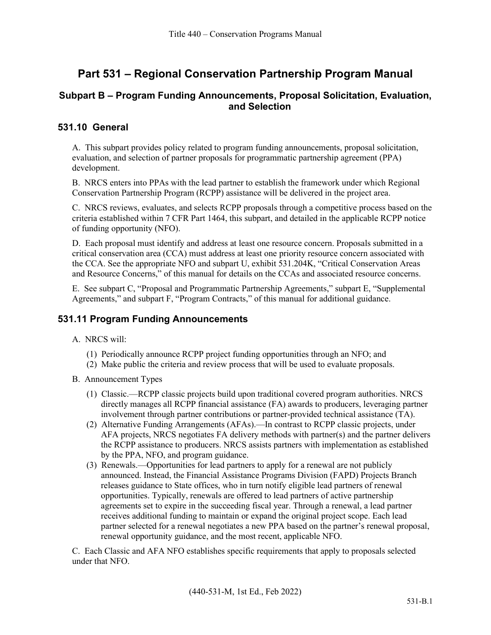# **Part 531 – Regional Conservation Partnership Program Manual**

### **Subpart B – Program Funding Announcements, Proposal Solicitation, Evaluation, and Selection**

#### **531.10 General**

A. This subpart provides policy related to program funding announcements, proposal solicitation, evaluation, and selection of partner proposals for programmatic partnership agreement (PPA) development.

B. NRCS enters into PPAs with the lead partner to establish the framework under which Regional Conservation Partnership Program (RCPP) assistance will be delivered in the project area.

C. NRCS reviews, evaluates, and selects RCPP proposals through a competitive process based on the criteria established within 7 CFR Part 1464, this subpart, and detailed in the applicable RCPP notice of funding opportunity (NFO).

D. Each proposal must identify and address at least one resource concern. Proposals submitted in a critical conservation area (CCA) must address at least one priority resource concern associated with the CCA. See the appropriate NFO and subpart U, exhibit 531.204K, "Critical Conservation Areas and Resource Concerns," of this manual for details on the CCAs and associated resource concerns.

E. See subpart C, "Proposal and Programmatic Partnership Agreements," subpart E, "Supplemental Agreements," and subpart F, "Program Contracts," of this manual for additional guidance.

#### **531.11 Program Funding Announcements**

- A. NRCS will:
	- (1) Periodically announce RCPP project funding opportunities through an NFO; and
	- (2) Make public the criteria and review process that will be used to evaluate proposals.
- B. Announcement Types
	- (1) Classic.—RCPP classic projects build upon traditional covered program authorities. NRCS directly manages all RCPP financial assistance (FA) awards to producers, leveraging partner involvement through partner contributions or partner-provided technical assistance (TA).
	- (2) Alternative Funding Arrangements (AFAs).—In contrast to RCPP classic projects, under AFA projects, NRCS negotiates FA delivery methods with partner(s) and the partner delivers the RCPP assistance to producers. NRCS assists partners with implementation as established by the PPA, NFO, and program guidance.
	- (3) Renewals.—Opportunities for lead partners to apply for a renewal are not publicly announced. Instead, the Financial Assistance Programs Division (FAPD) Projects Branch releases guidance to State offices, who in turn notify eligible lead partners of renewal opportunities. Typically, renewals are offered to lead partners of active partnership agreements set to expire in the succeeding fiscal year. Through a renewal, a lead partner receives additional funding to maintain or expand the original project scope. Each lead partner selected for a renewal negotiates a new PPA based on the partner's renewal proposal, renewal opportunity guidance, and the most recent, applicable NFO.

C. Each Classic and AFA NFO establishes specific requirements that apply to proposals selected under that NFO.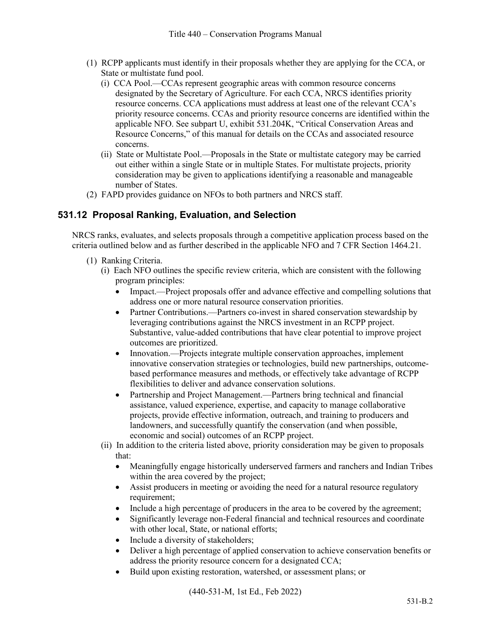- (1) RCPP applicants must identify in their proposals whether they are applying for the CCA, or State or multistate fund pool.
	- (i) CCA Pool.—CCAs represent geographic areas with common resource concerns designated by the Secretary of Agriculture. For each CCA, NRCS identifies priority resource concerns. CCA applications must address at least one of the relevant CCA's priority resource concerns. CCAs and priority resource concerns are identified within the applicable NFO. See subpart U, exhibit 531.204K, "Critical Conservation Areas and Resource Concerns," of this manual for details on the CCAs and associated resource concerns.
	- (ii) State or Multistate Pool.—Proposals in the State or multistate category may be carried out either within a single State or in multiple States. For multistate projects, priority consideration may be given to applications identifying a reasonable and manageable number of States.
- (2) FAPD provides guidance on NFOs to both partners and NRCS staff.

## **531.12 Proposal Ranking, Evaluation, and Selection**

NRCS ranks, evaluates, and selects proposals through a competitive application process based on the criteria outlined below and as further described in the applicable NFO and 7 CFR Section 1464.21.

- (1) Ranking Criteria.
	- (i) Each NFO outlines the specific review criteria, which are consistent with the following program principles:
		- Impact.—Project proposals offer and advance effective and compelling solutions that address one or more natural resource conservation priorities.
		- Partner Contributions.—Partners co-invest in shared conservation stewardship by leveraging contributions against the NRCS investment in an RCPP project. Substantive, value-added contributions that have clear potential to improve project outcomes are prioritized.
		- Innovation.—Projects integrate multiple conservation approaches, implement innovative conservation strategies or technologies, build new partnerships, outcomebased performance measures and methods, or effectively take advantage of RCPP flexibilities to deliver and advance conservation solutions.
		- Partnership and Project Management.—Partners bring technical and financial assistance, valued experience, expertise, and capacity to manage collaborative projects, provide effective information, outreach, and training to producers and landowners, and successfully quantify the conservation (and when possible, economic and social) outcomes of an RCPP project.
	- (ii) In addition to the criteria listed above, priority consideration may be given to proposals that:
		- Meaningfully engage historically underserved farmers and ranchers and Indian Tribes within the area covered by the project;
		- Assist producers in meeting or avoiding the need for a natural resource regulatory requirement;
		- Include a high percentage of producers in the area to be covered by the agreement;
		- Significantly leverage non-Federal financial and technical resources and coordinate with other local, State, or national efforts;
		- Include a diversity of stakeholders;
		- Deliver a high percentage of applied conservation to achieve conservation benefits or address the priority resource concern for a designated CCA;
		- Build upon existing restoration, watershed, or assessment plans; or

(440-531-M, 1st Ed., Feb 2022)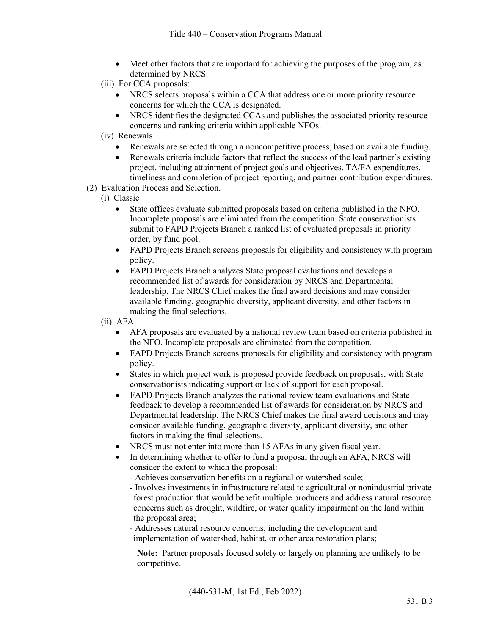- Meet other factors that are important for achieving the purposes of the program, as determined by NRCS.
- (iii) For CCA proposals:
	- NRCS selects proposals within a CCA that address one or more priority resource concerns for which the CCA is designated.
	- NRCS identifies the designated CCAs and publishes the associated priority resource concerns and ranking criteria within applicable NFOs.
- (iv) Renewals
	- Renewals are selected through a noncompetitive process, based on available funding.
	- Renewals criteria include factors that reflect the success of the lead partner's existing project, including attainment of project goals and objectives, TA/FA expenditures, timeliness and completion of project reporting, and partner contribution expenditures.
- (2) Evaluation Process and Selection.
	- (i) Classic
		- State offices evaluate submitted proposals based on criteria published in the NFO. Incomplete proposals are eliminated from the competition. State conservationists submit to FAPD Projects Branch a ranked list of evaluated proposals in priority order, by fund pool.
		- FAPD Projects Branch screens proposals for eligibility and consistency with program policy.
		- FAPD Projects Branch analyzes State proposal evaluations and develops a recommended list of awards for consideration by NRCS and Departmental leadership. The NRCS Chief makes the final award decisions and may consider available funding, geographic diversity, applicant diversity, and other factors in making the final selections.
	- (ii) AFA
		- AFA proposals are evaluated by a national review team based on criteria published in the NFO. Incomplete proposals are eliminated from the competition.
		- FAPD Projects Branch screens proposals for eligibility and consistency with program policy.
		- States in which project work is proposed provide feedback on proposals, with State conservationists indicating support or lack of support for each proposal.
		- FAPD Projects Branch analyzes the national review team evaluations and State feedback to develop a recommended list of awards for consideration by NRCS and Departmental leadership. The NRCS Chief makes the final award decisions and may consider available funding, geographic diversity, applicant diversity, and other factors in making the final selections.
		- NRCS must not enter into more than 15 AFAs in any given fiscal year.
		- In determining whether to offer to fund a proposal through an AFA, NRCS will consider the extent to which the proposal:
			- Achieves conservation benefits on a regional or watershed scale;
			- Involves investments in infrastructure related to agricultural or nonindustrial private forest production that would benefit multiple producers and address natural resource concerns such as drought, wildfire, or water quality impairment on the land within the proposal area;
			- Addresses natural resource concerns, including the development and implementation of watershed, habitat, or other area restoration plans;

**Note:** Partner proposals focused solely or largely on planning are unlikely to be competitive.